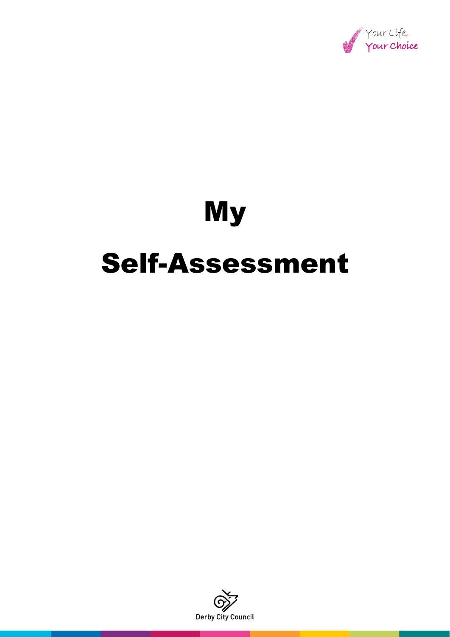

# My Self-Assessment

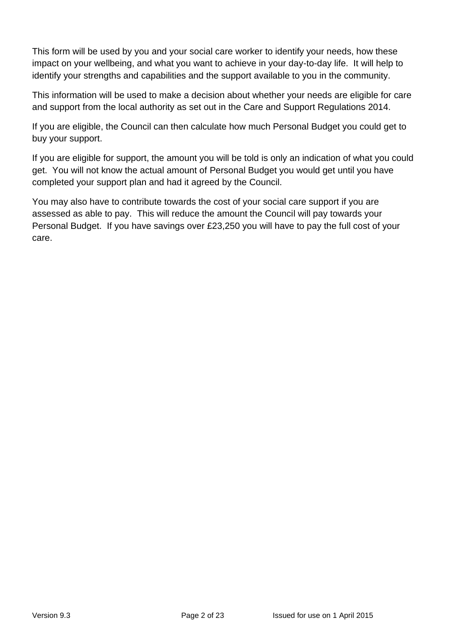This form will be used by you and your social care worker to identify your needs, how these impact on your wellbeing, and what you want to achieve in your day-to-day life. It will help to identify your strengths and capabilities and the support available to you in the community.

This information will be used to make a decision about whether your needs are eligible for care and support from the local authority as set out in the Care and Support Regulations 2014.

If you are eligible, the Council can then calculate how much Personal Budget you could get to buy your support.

If you are eligible for support, the amount you will be told is only an indication of what you could get. You will not know the actual amount of Personal Budget you would get until you have completed your support plan and had it agreed by the Council.

You may also have to contribute towards the cost of your social care support if you are assessed as able to pay. This will reduce the amount the Council will pay towards your Personal Budget. If you have savings over £23,250 you will have to pay the full cost of your care.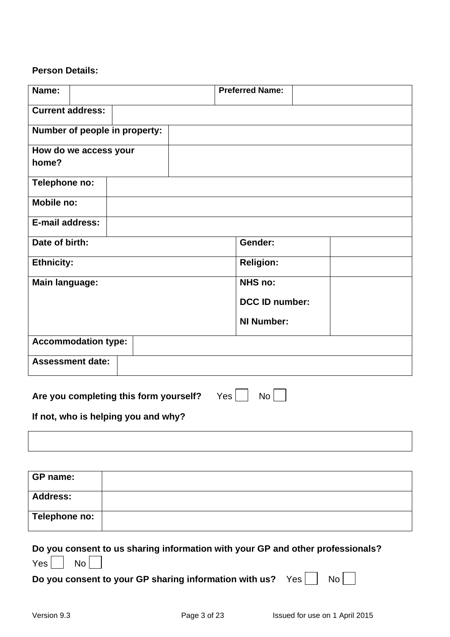#### **Person Details:**

| Name:                                                                   | <b>Preferred Name:</b> |  |
|-------------------------------------------------------------------------|------------------------|--|
| <b>Current address:</b>                                                 |                        |  |
| Number of people in property:                                           |                        |  |
| How do we access your<br>home?                                          |                        |  |
| Telephone no:                                                           |                        |  |
| Mobile no:                                                              |                        |  |
| <b>E-mail address:</b>                                                  |                        |  |
| Date of birth:                                                          | Gender:                |  |
| <b>Ethnicity:</b>                                                       | <b>Religion:</b>       |  |
| <b>Main language:</b>                                                   | <b>NHS no:</b>         |  |
|                                                                         | <b>DCC ID number:</b>  |  |
|                                                                         | <b>NI Number:</b>      |  |
| <b>Accommodation type:</b>                                              |                        |  |
| <b>Assessment date:</b>                                                 |                        |  |
| $Yes \mid$<br>No <sub>1</sub><br>Are you completing this form yourself? |                        |  |
| If not, who is helping you and why?                                     |                        |  |

| GP name:        |  |
|-----------------|--|
| <b>Address:</b> |  |
| Telephone no:   |  |

|                    | Do you consent to us sharing information with your GP and other professionals? |  |
|--------------------|--------------------------------------------------------------------------------|--|
| $Yes \mid No \mid$ |                                                                                |  |

**Do you consent to your GP sharing information with us?** Yes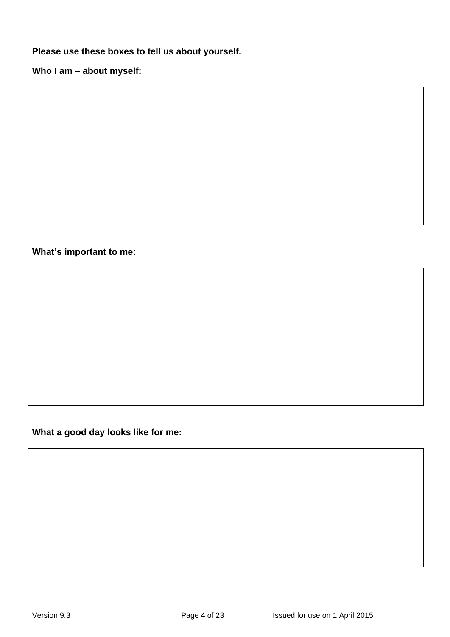**Please use these boxes to tell us about yourself.**

**Who I am – about myself:**

#### **What's important to me:**

**What a good day looks like for me:**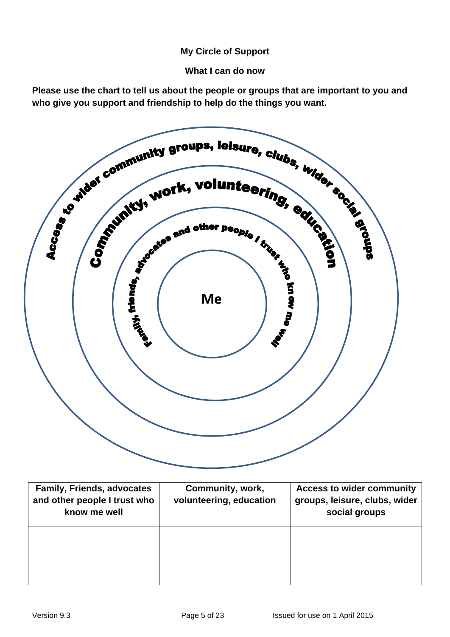#### **My Circle of Support**

**What I can do now** 

**Please use the chart to tell us about the people or groups that are important to you and who give you support and friendship to help do the things you want.**



| <b>Family, Friends, advocates</b><br>and other people I trust who<br>know me well | Community, work,<br>volunteering, education | <b>Access to wider community</b><br>groups, leisure, clubs, wider<br>social groups |
|-----------------------------------------------------------------------------------|---------------------------------------------|------------------------------------------------------------------------------------|
|                                                                                   |                                             |                                                                                    |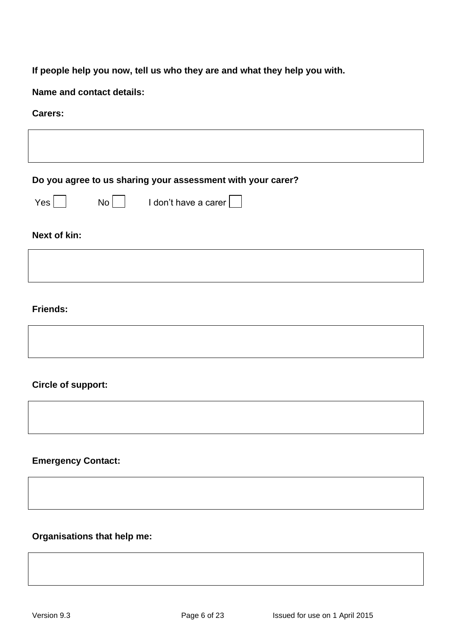## **If people help you now, tell us who they are and what they help you with.**

**Name and contact details:**

#### **Carers:**

| Do you agree to us sharing your assessment with your carer?                                       |
|---------------------------------------------------------------------------------------------------|
| $Yes \mid$<br>$\begin{array}{c c c c} \hline \text{No} & \text{Idon't have a career} \end{array}$ |
| Next of kin:                                                                                      |
|                                                                                                   |
|                                                                                                   |
| <b>Friends:</b>                                                                                   |
|                                                                                                   |
| <b>Circle of support:</b>                                                                         |
|                                                                                                   |
| <b>Emergency Contact:</b>                                                                         |
|                                                                                                   |
|                                                                                                   |

## **Organisations that help me:**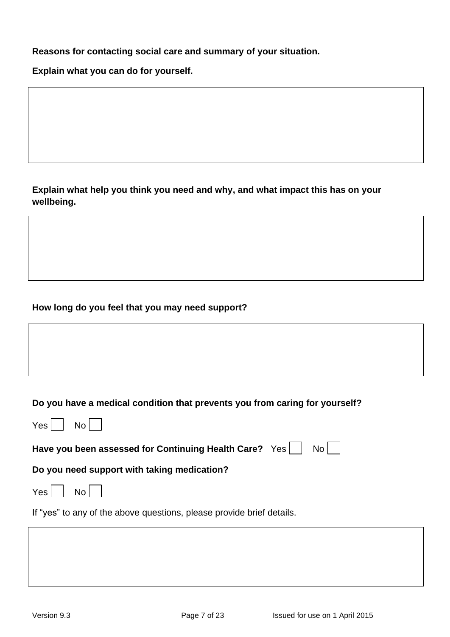**Reasons for contacting social care and summary of your situation.**

**Explain what you can do for yourself.**

**Explain what help you think you need and why, and what impact this has on your wellbeing.**

#### **How long do you feel that you may need support?**

## **Do you have a medical condition that prevents you from caring for yourself?**

| Yes  <br>No <sub>1</sub>                                              |
|-----------------------------------------------------------------------|
| Have you been assessed for Continuing Health Care? Yes<br>$No$        |
| Do you need support with taking medication?                           |
| Yes  <br>No <sub>1</sub>                                              |
| If "yes" to any of the above questions, please provide brief details. |
|                                                                       |
|                                                                       |
|                                                                       |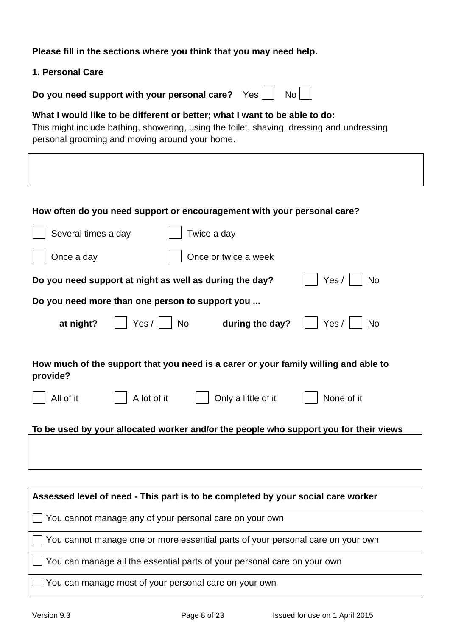**Please fill in the sections where you think that you may need help.** 

| 1. Personal Care                                                                                                                                                                                                           |  |  |
|----------------------------------------------------------------------------------------------------------------------------------------------------------------------------------------------------------------------------|--|--|
| Do you need support with your personal care?<br>No <sub>1</sub><br>Yes                                                                                                                                                     |  |  |
| What I would like to be different or better; what I want to be able to do:<br>This might include bathing, showering, using the toilet, shaving, dressing and undressing,<br>personal grooming and moving around your home. |  |  |
|                                                                                                                                                                                                                            |  |  |
|                                                                                                                                                                                                                            |  |  |
| How often do you need support or encouragement with your personal care?                                                                                                                                                    |  |  |
| Several times a day<br>Twice a day                                                                                                                                                                                         |  |  |
| Once a day<br>Once or twice a week                                                                                                                                                                                         |  |  |
| Yes $/$<br><b>No</b><br>Do you need support at night as well as during the day?                                                                                                                                            |  |  |
| Do you need more than one person to support you                                                                                                                                                                            |  |  |
| Yes /<br>Yes /<br>at night?<br><b>No</b><br>during the day?<br><b>No</b>                                                                                                                                                   |  |  |
| How much of the support that you need is a carer or your family willing and able to<br>provide?                                                                                                                            |  |  |
| A lot of it<br>Only a little of it<br>None of it<br>All of it                                                                                                                                                              |  |  |
|                                                                                                                                                                                                                            |  |  |

**To be used by your allocated worker and/or the people who support you for their views**

| Assessed level of need - This part is to be completed by your social care worker       |
|----------------------------------------------------------------------------------------|
| You cannot manage any of your personal care on your own                                |
| $\Box$ You cannot manage one or more essential parts of your personal care on your own |
| You can manage all the essential parts of your personal care on your own               |
| You can manage most of your personal care on your own                                  |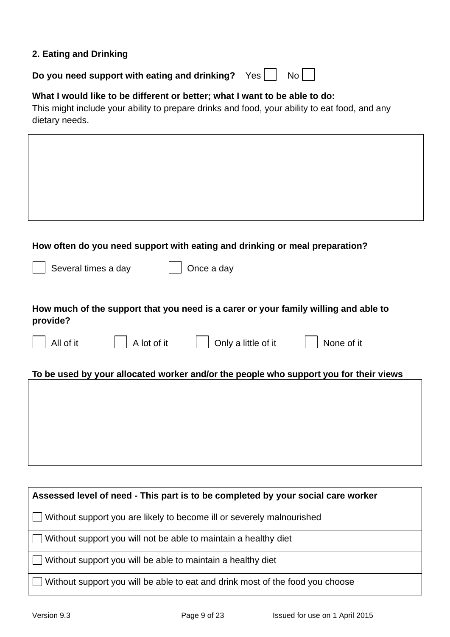#### **2. Eating and Drinking**

**Do you need support with eating and drinking?** Yes  $\Box$  No

## **What I would like to be different or better; what I want to be able to do:**

This might include your ability to prepare drinks and food, your ability to eat food, and any dietary needs.

| How often do you need support with eating and drinking or meal preparation?                     |
|-------------------------------------------------------------------------------------------------|
| Several times a day<br>Once a day                                                               |
|                                                                                                 |
| How much of the support that you need is a carer or your family willing and able to<br>provide? |
| Only a little of it<br>All of it<br>A lot of it<br>None of it                                   |
| To be used by your allocated worker and/or the people who support you for their views           |
|                                                                                                 |
|                                                                                                 |
|                                                                                                 |
|                                                                                                 |
|                                                                                                 |
|                                                                                                 |
| Assessed level of need - This part is to be completed by your social care worker                |
| Without support you are likely to become ill or severely malnourished                           |
| Without support you will not be able to maintain a healthy diet                                 |
| Without support you will be able to maintain a healthy diet                                     |

Without support you will be able to eat and drink most of the food you choose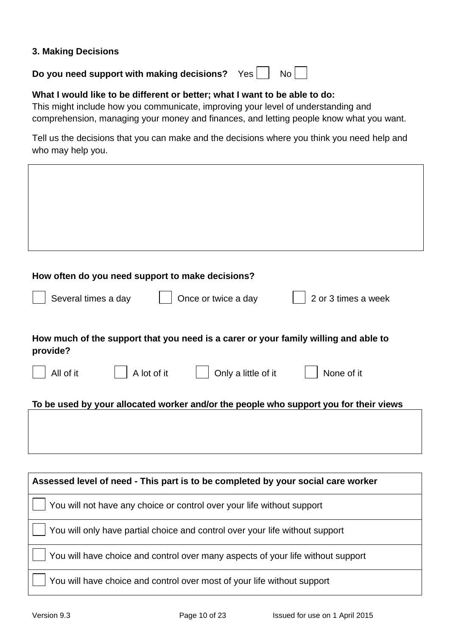#### **3. Making Decisions**

## **Do you need support with making decisions?** Yes | No

#### **What I would like to be different or better; what I want to be able to do:**

This might include how you communicate, improving your level of understanding and comprehension, managing your money and finances, and letting people know what you want.

Tell us the decisions that you can make and the decisions where you think you need help and who may help you.

| How often do you need support to make decisions?                                                |  |  |
|-------------------------------------------------------------------------------------------------|--|--|
| Several times a day<br>Once or twice a day<br>2 or 3 times a week                               |  |  |
| How much of the support that you need is a carer or your family willing and able to<br>provide? |  |  |
| All of it<br>A lot of it<br>Only a little of it<br>None of it                                   |  |  |
| To be used by your allocated worker and/or the people who support you for their views           |  |  |
|                                                                                                 |  |  |
|                                                                                                 |  |  |
|                                                                                                 |  |  |
|                                                                                                 |  |  |
| Assessed level of need - This part is to be completed by your social care worker                |  |  |
| You will not have any choice or control over your life without support                          |  |  |
| You will only have partial choice and control over your life without support                    |  |  |
| You will have choice and control over many aspects of your life without support                 |  |  |
| You will have choice and control over most of your life without support                         |  |  |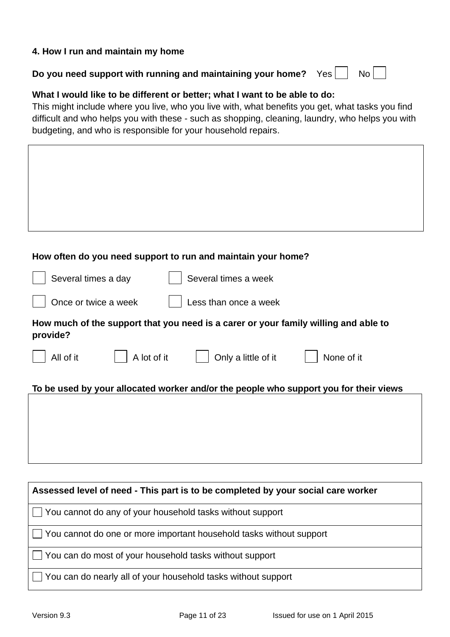#### **4. How I run and maintain my home**

| Do you need support with running and maintaining your home? $Yes$   No |  |  |  |
|------------------------------------------------------------------------|--|--|--|
|------------------------------------------------------------------------|--|--|--|

#### **What I would like to be different or better; what I want to be able to do:**

This might include where you live, who you live with, what benefits you get, what tasks you find difficult and who helps you with these - such as shopping, cleaning, laundry, who helps you with budgeting, and who is responsible for your household repairs.

| How often do you need support to run and maintain your home?                                    |
|-------------------------------------------------------------------------------------------------|
| Several times a day<br>Several times a week                                                     |
| Once or twice a week<br>Less than once a week                                                   |
| How much of the support that you need is a carer or your family willing and able to<br>provide? |
| A lot of it<br>Only a little of it<br>None of it<br>All of it                                   |
| To be used by your allocated worker and/or the people who support you for their views           |
|                                                                                                 |
|                                                                                                 |
|                                                                                                 |
|                                                                                                 |
| Assessed level of need - This part is to be completed by your social care worker                |
| You cannot do any of your household tasks without support                                       |
| You cannot do one or more important household tasks without support                             |
| You can do most of your household tasks without support                                         |
| You can do nearly all of your household tasks without support                                   |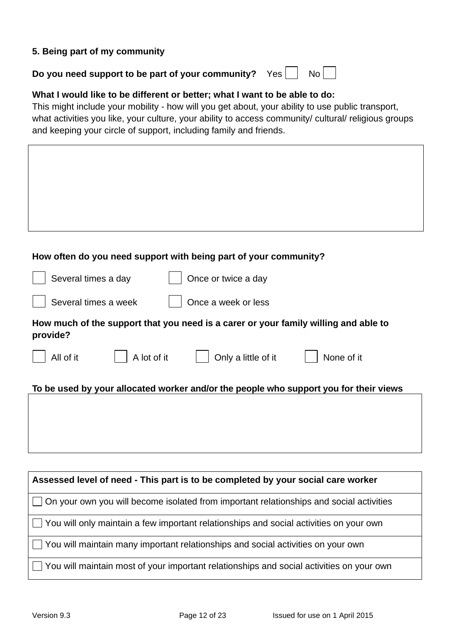#### **5. Being part of my community**

| Do you need support to be part of your community? $Yes \mid \text{No} \mid \text{[}$ |  |  |  |
|--------------------------------------------------------------------------------------|--|--|--|
|--------------------------------------------------------------------------------------|--|--|--|

#### **What I would like to be different or better; what I want to be able to do:**

This might include your mobility - how will you get about, your ability to use public transport, what activities you like, your culture, your ability to access community/ cultural/ religious groups and keeping your circle of support, including family and friends.

| How often do you need support with being part of your community?                                |
|-------------------------------------------------------------------------------------------------|
| Several times a day<br>Once or twice a day                                                      |
| Several times a week<br>Once a week or less                                                     |
| How much of the support that you need is a carer or your family willing and able to<br>provide? |
| A lot of it<br>Only a little of it<br>None of it<br>All of it                                   |
| To be used by your allocated worker and/or the people who support you for their views           |
|                                                                                                 |
|                                                                                                 |
|                                                                                                 |
| Assessed level of need - This part is to be completed by your social care worker                |
| On your own you will become isolated from important relationships and social activities         |
| You will only maintain a few important relationships and social activities on your own          |
| You will maintain many important relationships and social activities on your own                |
| You will maintain most of your important relationships and social activities on your own        |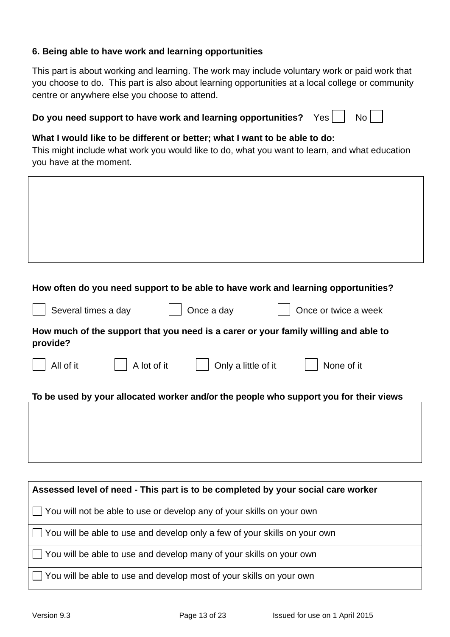#### **6. Being able to have work and learning opportunities**

This part is about working and learning. The work may include voluntary work or paid work that you choose to do. This part is also about learning opportunities at a local college or community centre or anywhere else you choose to attend.

| Do you need support to have work and learning opportunities? Yes $\Box$ No $\Box$ |  |  |  |
|-----------------------------------------------------------------------------------|--|--|--|
|-----------------------------------------------------------------------------------|--|--|--|

#### **What I would like to be different or better; what I want to be able to do:**

This might include what work you would like to do, what you want to learn, and what education you have at the moment.

| How often do you need support to be able to have work and learning opportunities?               |
|-------------------------------------------------------------------------------------------------|
| Once a day<br>Several times a day<br>Once or twice a week                                       |
| How much of the support that you need is a carer or your family willing and able to<br>provide? |
| All of it<br>A lot of it<br>Only a little of it<br>None of it                                   |
| To be used by your allocated worker and/or the people who support you for their views           |
|                                                                                                 |
|                                                                                                 |
|                                                                                                 |
| Assessed level of need - This part is to be completed by your social care worker                |
| You will not be able to use or develop any of your skills on your own                           |
| You will be able to use and develop only a few of your skills on your own                       |
| You will be able to use and develop many of your skills on your own                             |
| You will be able to use and develop most of your skills on your own                             |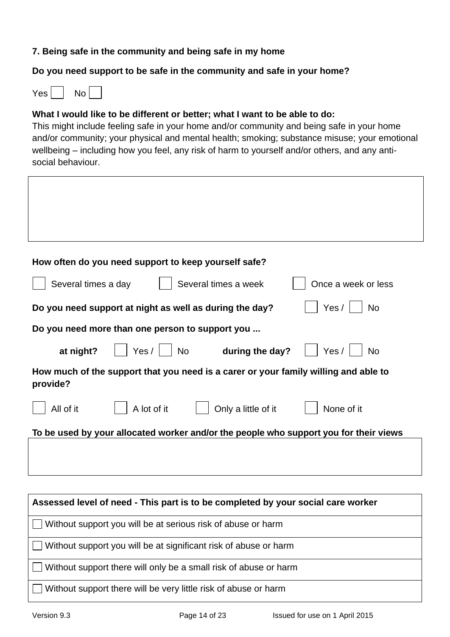#### **7. Being safe in the community and being safe in my home**

#### **Do you need support to be safe in the community and safe in your home?**

 $Yes$   $|$  No

#### **What I would like to be different or better; what I want to be able to do:**

This might include feeling safe in your home and/or community and being safe in your home and/or community; your physical and mental health; smoking; substance misuse; your emotional wellbeing – including how you feel, any risk of harm to yourself and/or others, and any antisocial behaviour.

| How often do you need support to keep yourself safe?                                            |
|-------------------------------------------------------------------------------------------------|
| Several times a week<br>Several times a day<br>Once a week or less                              |
| Yes/<br>Do you need support at night as well as during the day?<br><b>No</b>                    |
| Do you need more than one person to support you                                                 |
| $Yes /  $ No<br>at night?<br>during the day?<br>Yes /<br><b>No</b>                              |
| How much of the support that you need is a carer or your family willing and able to<br>provide? |
| A lot of it<br>Only a little of it<br>All of it<br>None of it                                   |
| To be used by your allocated worker and/or the people who support you for their views           |
|                                                                                                 |
|                                                                                                 |
| Assessed level of need - This part is to be completed by your social care worker                |
|                                                                                                 |
| Without support you will be at serious risk of abuse or harm                                    |
| Without support you will be at significant risk of abuse or harm                                |
| $\vert$ Mithout quanort thare will only be a small righ of obuse or began                       |

 $\Box$  Without support there will only be a small risk of abuse or harm

Without support there will be very little risk of abuse or harm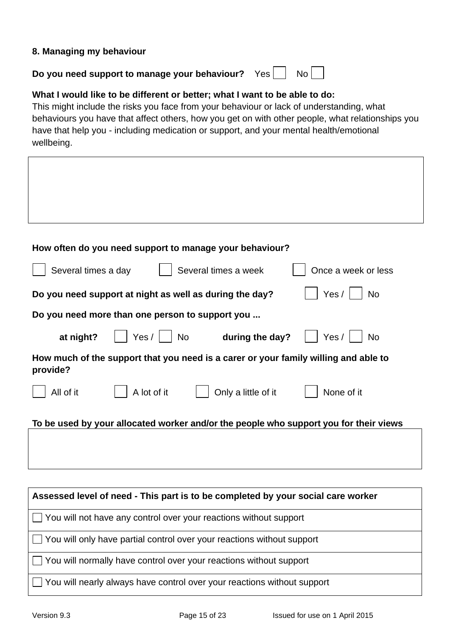#### **8. Managing my behaviour**

**Do you need support to manage your behaviour?** Yes  $\vert$  No

#### **What I would like to be different or better; what I want to be able to do:**

This might include the risks you face from your behaviour or lack of understanding, what behaviours you have that affect others, how you get on with other people, what relationships you have that help you - including medication or support, and your mental health/emotional wellbeing.

| How often do you need support to manage your behaviour?                                         |
|-------------------------------------------------------------------------------------------------|
| Several times a day<br>Several times a week<br>Once a week or less                              |
| Yes / $ $<br><b>No</b><br>Do you need support at night as well as during the day?               |
| Do you need more than one person to support you                                                 |
| Yes /   No<br>Yes $/$<br>at night?<br>during the day?<br><b>No</b>                              |
| How much of the support that you need is a carer or your family willing and able to<br>provide? |
| A lot of it<br>Only a little of it<br>None of it<br>All of it                                   |
| To be used by your allocated worker and/or the people who support you for their views           |
|                                                                                                 |
|                                                                                                 |
| Assessed level of need - This part is to be completed by your social care worker                |
| You will not have any control over your reactions without support                               |

 $\Box$  You will only have partial control over your reactions without support

 $\Box$  You will normally have control over your reactions without support

□ You will nearly always have control over your reactions without support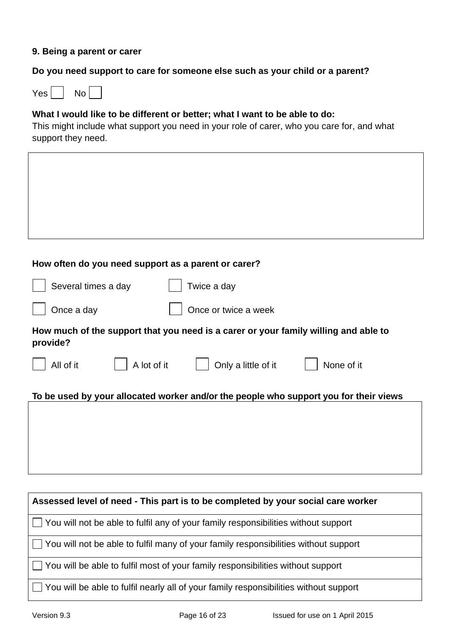#### **9. Being a parent or carer**

## **Do you need support to care for someone else such as your child or a parent?**

 $Yes \nightharpoonup No$ 

## **What I would like to be different or better; what I want to be able to do:**

This might include what support you need in your role of carer, who you care for, and what support they need.

| How often do you need support as a parent or carer?                                             |
|-------------------------------------------------------------------------------------------------|
| Twice a day<br>Several times a day                                                              |
| Once a day<br>Once or twice a week                                                              |
| How much of the support that you need is a carer or your family willing and able to<br>provide? |
| A lot of it<br>All of it<br>Only a little of it<br>None of it                                   |
| To be used by your allocated worker and/or the people who support you for their views           |
|                                                                                                 |
|                                                                                                 |
|                                                                                                 |
|                                                                                                 |
| Assessed level of need - This part is to be completed by your social care worker                |
| You will not be able to fulfil any of your family responsibilities without support              |
| You will not be able to fulfil many of your family responsibilities without support             |
| You will be able to fulfil most of your family responsibilities without support                 |
| You will be able to fulfil nearly all of your family responsibilities without support           |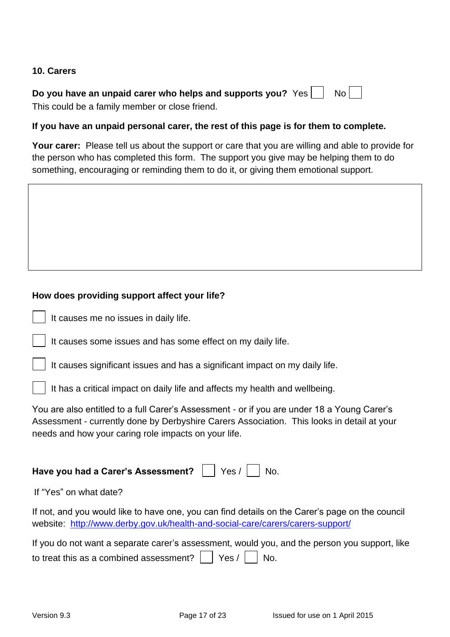#### **10. Carers**

| Do you have an unpaid carer who helps and supports you? $Yes \Box \ No$ |  |  |
|-------------------------------------------------------------------------|--|--|
| This could be a family member or close friend.                          |  |  |

#### **If you have an unpaid personal carer, the rest of this page is for them to complete.**

**Your carer:** Please tell us about the support or care that you are willing and able to provide for the person who has completed this form. The support you give may be helping them to do something, encouraging or reminding them to do it, or giving them emotional support.

#### **How does providing support affect your life?**

|  | It causes me no issues in daily life. |  |  |  |  |  |
|--|---------------------------------------|--|--|--|--|--|
|--|---------------------------------------|--|--|--|--|--|

It causes some issues and has some effect on my daily life.

It causes significant issues and has a significant impact on my daily life.

It has a critical impact on daily life and affects my health and wellbeing.

You are also entitled to a full Carer's Assessment - or if you are under 18 a Young Carer's Assessment - currently done by Derbyshire Carers Association. This looks in detail at your needs and how your caring role impacts on your life.

## Have you had a Carer's Assessment? | | Yes / | No.

If "Yes" on what date?

If not, and you would like to have one, you can find details on the Carer's page on the council website: <http://www.derby.gov.uk/health-and-social-care/carers/carers-support/>

| If you do not want a separate carer's assessment, would you, and the person you support, like |  |  |  |  |  |
|-----------------------------------------------------------------------------------------------|--|--|--|--|--|
| to treat this as a combined assessment? $\vert \ \vert$ Yes / $\vert \ \vert$ No.             |  |  |  |  |  |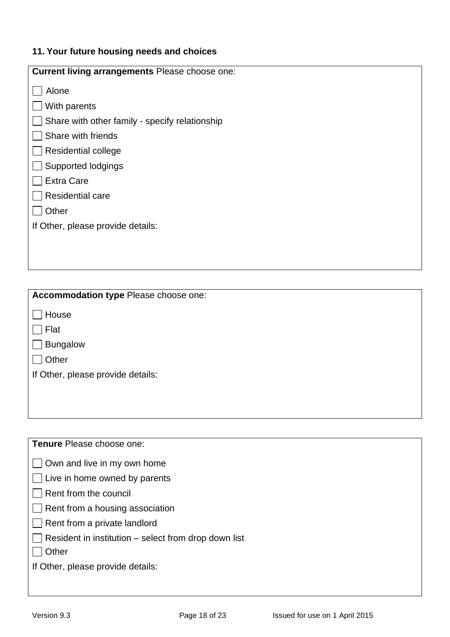## **11. Your future housing needs and choices**

| <b>Current living arrangements Please choose one:</b> |
|-------------------------------------------------------|
| Alone                                                 |
| With parents                                          |
| Share with other family - specify relationship        |
| Share with friends                                    |
| Residential college                                   |
| Supported lodgings                                    |
| <b>Extra Care</b>                                     |
| <b>Residential care</b>                               |
| Other                                                 |
| If Other, please provide details:                     |
|                                                       |
|                                                       |

| Accommodation type Please choose one: |
|---------------------------------------|
| House                                 |
| Flat                                  |
| Bungalow                              |
| Other                                 |
| If Other, please provide details:     |
|                                       |
|                                       |

**Tenure** Please choose one:

| $\Box$ Own and live in my own home |  |  |  |  |  |  |  |  |
|------------------------------------|--|--|--|--|--|--|--|--|
|------------------------------------|--|--|--|--|--|--|--|--|

 $\Box$  Live in home owned by parents

- Rent from the council
- $\Box$  Rent from a housing association
- Rent from a private landlord
- $\Box$  Resident in institution select from drop down list
- $\Box$  Other

If Other, please provide details: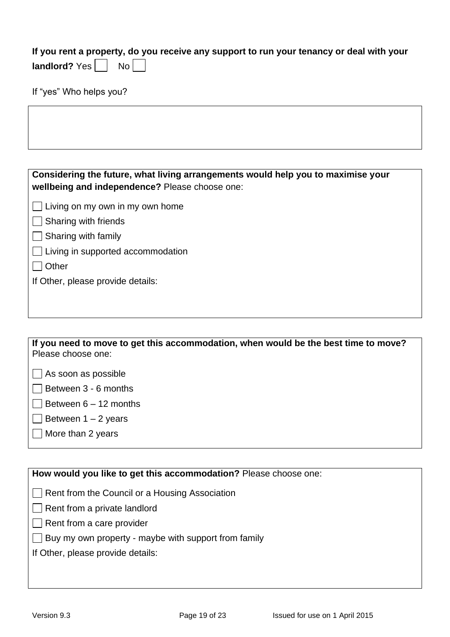**If you rent a property, do you receive any support to run your tenancy or deal with your** 

| ۹ |  |
|---|--|
|---|--|

If "yes" Who helps you?

| Considering the future, what living arrangements would help you to maximise your<br>wellbeing and independence? Please choose one: |
|------------------------------------------------------------------------------------------------------------------------------------|
| Living on my own in my own home                                                                                                    |
| Sharing with friends                                                                                                               |
| Sharing with family                                                                                                                |
| Living in supported accommodation                                                                                                  |
| Other                                                                                                                              |
| If Other, please provide details:                                                                                                  |
|                                                                                                                                    |
|                                                                                                                                    |
|                                                                                                                                    |

**If you need to move to get this accommodation, when would be the best time to move?**  Please choose one:

 $\Box$  As soon as possible

 $\Box$  Between 3 - 6 months

 $\Box$  Between 6 – 12 months

- $\Box$  Between 1 2 years
- $\Box$  More than 2 years

**How would you like to get this accommodation?** Please choose one:

Rent from the Council or a Housing Association

 $\Box$  Rent from a private landlord

- $\Box$  Rent from a care provider
- $\Box$  Buy my own property maybe with support from family

If Other, please provide details: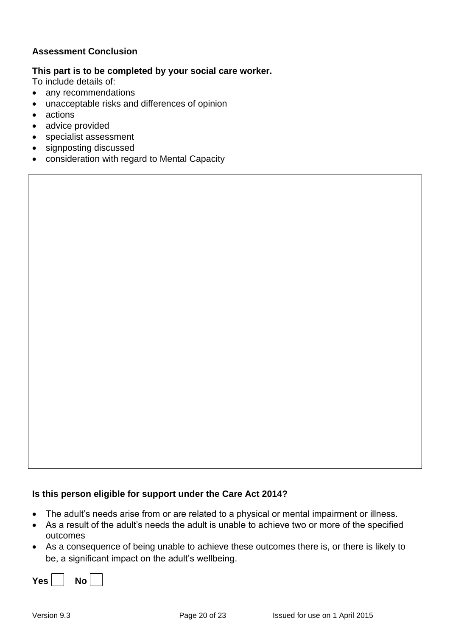#### **Assessment Conclusion**

## **This part is to be completed by your social care worker.**

To include details of:

- any recommendations
- unacceptable risks and differences of opinion
- actions
- advice provided
- specialist assessment
- signposting discussed
- consideration with regard to Mental Capacity

#### **Is this person eligible for support under the Care Act 2014?**

- The adult's needs arise from or are related to a physical or mental impairment or illness.
- As a result of the adult's needs the adult is unable to achieve two or more of the specified outcomes
- As a consequence of being unable to achieve these outcomes there is, or there is likely to be, a significant impact on the adult's wellbeing.

| Yes $\overline{ }$<br>No ' |
|----------------------------|
|----------------------------|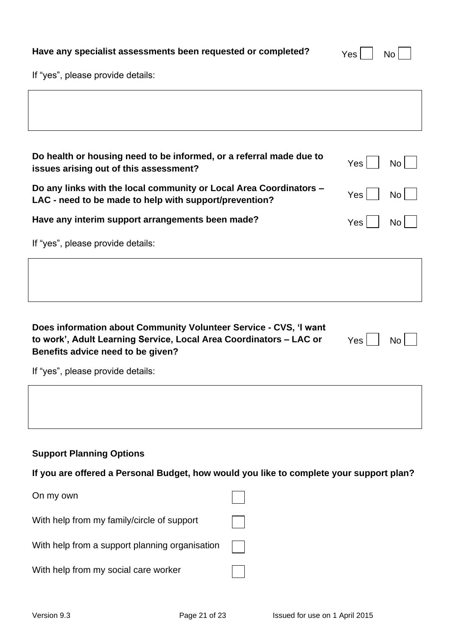| Have any specialist assessments been requested or completed? | $Yes \n\begin{array}{ c c } \n\hline\n\end{array} No \n\begin{array}{ c c } \n\hline\n\end{array}$ |  |  |
|--------------------------------------------------------------|----------------------------------------------------------------------------------------------------|--|--|
|--------------------------------------------------------------|----------------------------------------------------------------------------------------------------|--|--|

| 'NO |  |
|-----|--|
|     |  |

If "yes", please provide details:

| Do health or housing need to be informed, or a referral made due to                                                                                                                              |  |                         |  |
|--------------------------------------------------------------------------------------------------------------------------------------------------------------------------------------------------|--|-------------------------|--|
| issues arising out of this assessment?                                                                                                                                                           |  | Yes<br>No               |  |
| Do any links with the local community or Local Area Coordinators -<br>LAC - need to be made to help with support/prevention?                                                                     |  | Yes<br>No               |  |
| Have any interim support arrangements been made?                                                                                                                                                 |  | <b>Yes</b><br><b>No</b> |  |
| If "yes", please provide details:                                                                                                                                                                |  |                         |  |
|                                                                                                                                                                                                  |  |                         |  |
|                                                                                                                                                                                                  |  |                         |  |
| Does information about Community Volunteer Service - CVS, 'I want<br>to work', Adult Learning Service, Local Area Coordinators - LAC or<br>Yes<br><b>No</b><br>Benefits advice need to be given? |  |                         |  |
| If "yes", please provide details:                                                                                                                                                                |  |                         |  |
|                                                                                                                                                                                                  |  |                         |  |
|                                                                                                                                                                                                  |  |                         |  |
| <b>Support Planning Options</b>                                                                                                                                                                  |  |                         |  |
| If you are offered a Personal Budget, how would you like to complete your support plan?                                                                                                          |  |                         |  |
| On my own                                                                                                                                                                                        |  |                         |  |
| With help from my family/circle of support                                                                                                                                                       |  |                         |  |
| With help from a support planning organisation                                                                                                                                                   |  |                         |  |
| With help from my social care worker                                                                                                                                                             |  |                         |  |
|                                                                                                                                                                                                  |  |                         |  |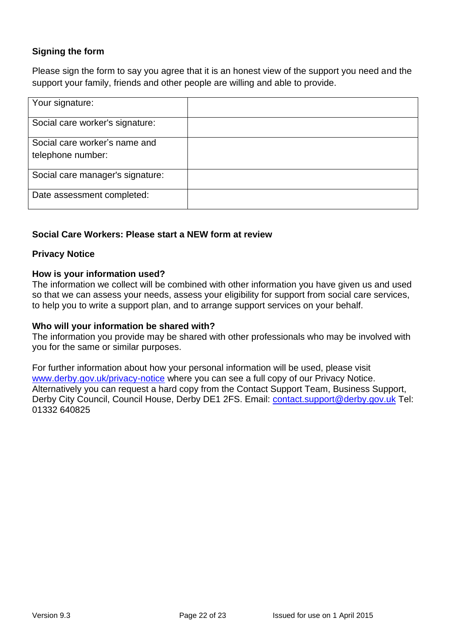### **Signing the form**

Please sign the form to say you agree that it is an honest view of the support you need and the support your family, friends and other people are willing and able to provide.

| Your signature:                                    |  |
|----------------------------------------------------|--|
| Social care worker's signature:                    |  |
| Social care worker's name and<br>telephone number: |  |
| Social care manager's signature:                   |  |
| Date assessment completed:                         |  |

#### **Social Care Workers: Please start a NEW form at review**

#### **Privacy Notice**

#### **How is your information used?**

The information we collect will be combined with other information you have given us and used so that we can assess your needs, assess your eligibility for support from social care services, to help you to write a support plan, and to arrange support services on your behalf.

#### **Who will your information be shared with?**

The information you provide may be shared with other professionals who may be involved with you for the same or similar purposes.

For further information about how your personal information will be used, please visit [www.derby.gov.uk/privacy-notice](http://www.derby.gov.uk/privacy-notice) where you can see a full copy of our Privacy Notice. Alternatively you can request a hard copy from the Contact Support Team, Business Support, Derby City Council, Council House, Derby DE1 2FS. Email: [contact.support@derby.gov.uk](mailto:contact.support@derby.gov.uk) Tel: 01332 640825